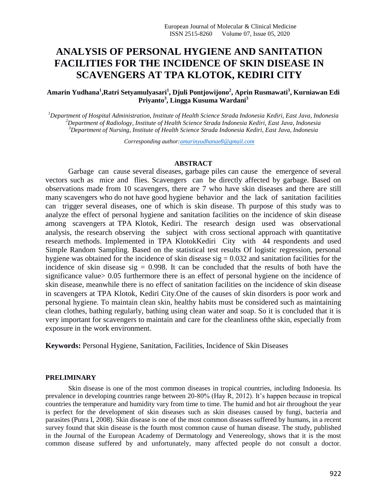# **ANALYSIS OF PERSONAL HYGIENE AND SANITATION FACILITIES FOR THE INCIDENCE OF SKIN DISEASE IN SCAVENGERS AT TPA KLOTOK, KEDIRI CITY**

**Amarin Yudhana<sup>1</sup> ,Ratri Setyamulyasari<sup>1</sup> , Djuli Pontjowijono<sup>2</sup> , Aprin Rusmawati<sup>3</sup> , Kurniawan Edi Priyanto<sup>3</sup> , Lingga Kusuma Wardani<sup>3</sup>**

*<sup>1</sup>Department of Hospital Administration, Institute of Health Science Strada Indonesia Kediri, East Java, Indonesia <sup>2</sup>Department of Radiology, Institute of Health Science Strada Indonesia Kediri, East Java, Indonesia <sup>3</sup>Department of Nursing, Institute of Health Science Strada Indonesia Kediri, East Java, Indonesia*

*Corresponding author[:amarinyudhanae8@gmail.com](mailto:amarinyudhanae8@gmail.com)*

# **ABSTRACT**

Garbage can cause several diseases, garbage piles can cause the emergence of several vectors such as mice and flies. Scavengers can be directly affected by garbage. Based on observations made from 10 scavengers, there are 7 who have skin diseases and there are still many scavengers who do not have good hygiene behavior and the lack of sanitation facilities can trigger several diseases, one of which is skin disease. Th purpose of this study was to analyze the effect of personal hygiene and sanitation facilities on the incidence of skin disease among scavengers at TPA Klotok, Kediri. The research design used was observational analysis, the research observing the subject with cross sectional approach with quantitative research methods. Implemented in TPA KlotokKediri City with 44 respondents and used Simple Random Sampling. Based on the statistical test results Of logistic regression, personal hygiene was obtained for the incidence of skin disease  $sig = 0.032$  and sanitation facilities for the incidence of skin disease sig  $= 0.998$ . It can be concluded that the results of both have the significance value> 0.05 furthermore there is an effect of personal hygiene on the incidence of skin disease, meanwhile there is no effect of sanitation facilities on the incidence of skin disease in scavengers at TPA Klotok, Kediri City.One of the causes of skin disorders is poor work and personal hygiene. To maintain clean skin, healthy habits must be considered such as maintaining clean clothes, bathing regularly, bathing using clean water and soap. So it is concluded that it is very important for scavengers to maintain and care for the cleanliness ofthe skin, especially from exposure in the work environment.

**Keywords:** Personal Hygiene, Sanitation, Facilities, Incidence of Skin Diseases

## **PRELIMINARY**

Skin disease is one of the most common diseases in tropical countries, including Indonesia. Its prevalence in developing countries range between 20-80% (Hay R, 2012). It's happen because in tropical countries the temperature and humidity vary from time to time. The humid and hot air throughout the year is perfect for the development of skin diseases such as skin diseases caused by fungi, bacteria and parasites (Putra I, 2008). Skin disease is one of the most common diseases suffered by humans, in a recent survey found that skin disease is the fourth most common cause of human disease. The study, published in the Journal of the European Academy of Dermatology and Venereology, shows that it is the most common disease suffered by and unfortunately, many affected people do not consult a doctor.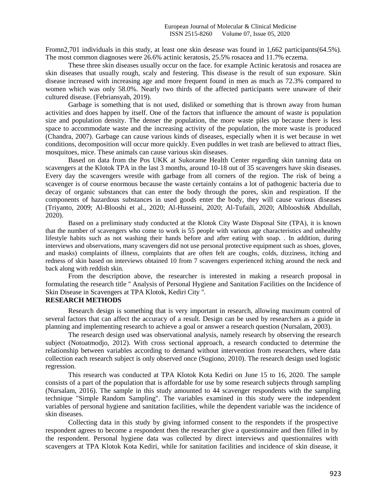Fromn2,701 individuals in this study, at least one skin desease was found in 1,662 participants(64.5%). The most common diagnoses were 26.6% actinic keratosis, 25.5% rosacea and 11.7% eczema.

These three skin diseases usually occur on the face. for example Actinic keratosis and rosacea are skin diseases that usually rough, scaly and festering. This disease is the result of sun exposure. Skin disease increased with increasing age and more frequent found in men as much as 72.3% compared to women which was only 58.0%. Nearly two thirds of the affected participants were unaware of their cultured disease. (Febriansyah, 2019).

Garbage is something that is not used, disliked or something that is thrown away from human activities and does happen by itself. One of the factors that influence the amount of waste is population size and population density. The denser the population, the more waste piles up because there is less space to accommodate waste and the increasing activity of the population, the more waste is produced (Chandra, 2007). Garbage can cause various kinds of diseases, especially when it is wet because in wet conditions, decomposition will occur more quickly. Even puddles in wet trash are believed to attract flies, mosquitoes, mice. These animals can cause various skin diseases.

Based on data from the Pos UKK at Sukorame Health Center regarding skin tanning data on scavengers at the Klotok TPA in the last 3 months, around 10-18 out of 35 scavengers have skin diseases. Every day the scavengers wrestle with garbage from all corners of the region. The risk of being a scavenger is of course enormous because the waste certainly contains a lot of pathogenic bacteria due to decay of organic substances that can enter the body through the pores, skin and respiration. If the components of hazardous substances in used goods enter the body, they will cause various diseases (Triyanto, 2009; Al-Blooshi et al., 2020; Al-Husseini, 2020; Al-Tufaili, 2020; Alblooshi& Abdullah, 2020).

Based on a preliminary study conducted at the Klotok City Waste Disposal Site (TPA), it is known that the number of scavengers who come to work is 55 people with various age characteristics and unhealthy lifestyle habits such as not washing their hands before and after eating with soap. . In addition, during interviews and observations, many scavengers did not use personal protective equipment such as shoes, gloves, and masks) complaints of illness, complaints that are often felt are coughs, colds, dizziness, itching and redness of skin based on interviews obtained 10 from 7 scavengers experienced itching around the neck and back along with reddish skin.

From the description above, the researcher is interested in making a research proposal in formulating the research title '' Analysis of Personal Hygiene and Sanitation Facilities on the Incidence of Skin Disease in Scavengers at TPA Klotok, Kediri City ''.

# **RESEARCH METHODS**

Research design is something that is very important in research, allowing maximum control of several factors that can affect the accuracy of a result. Design can be used by researchers as a guide in planning and implementing research to achieve a goal or answer a research question (Nursalam, 2003).

The research design used was observational analysis, namely research by observing the research subject (Notoatmodjo, 2012). With cross sectional approach, a research conducted to determine the relationship between variables according to demand without intervention from researchers, where data collection each research subject is only observed once (Sugiono, 2010). The research design used logistic regression.

This research was conducted at TPA Klotok Kota Kediri on June 15 to 16, 2020. The sample consists of a part of the population that is affordable for use by some research subjects through sampling (Nursalam, 2016). The sample in this study amounted to 44 scavenger respondents with the sampling technique "Simple Random Sampling". The variables examined in this study were the independent variables of personal hygiene and sanitation facilities, while the dependent variable was the incidence of skin diseases.

Collecting data in this study by giving informed consent to the respondets if the prospective respondent agrees to become a respondent then the researcher give a questionnaire and then filled in by the respondent. Personal hygiene data was collected by direct interviews and questionnaires with scavengers at TPA Klotok Kota Kediri, while for sanitation facilities and incidence of skin disease, it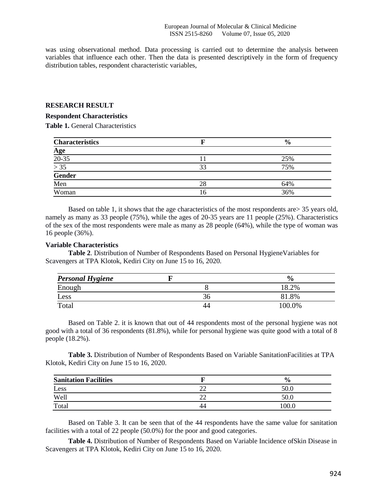was using observational method. Data processing is carried out to determine the analysis between variables that influence each other. Then the data is presented descriptively in the form of frequency distribution tables, respondent characteristic variables,

#### **RESEARCH RESULT**

#### **Respondent Characteristics**

**Table 1.** General Characteristics

| <b>Characteristics</b>                                               |    | $\frac{0}{0}$ |
|----------------------------------------------------------------------|----|---------------|
|                                                                      |    |               |
|                                                                      |    | 25%           |
|                                                                      | 33 | 75%           |
| $\frac{\text{Age}}{\frac{20-35}{5}} \times \frac{35}{\text{Gender}}$ |    |               |
| Men                                                                  | 28 | 64%           |
| Woman                                                                | 16 | 36%           |

Based on table 1, it shows that the age characteristics of the most respondents are> 35 years old, namely as many as 33 people (75%), while the ages of 20-35 years are 11 people (25%). Characteristics of the sex of the most respondents were male as many as 28 people (64%), while the type of woman was 16 people (36%).

## **Variable Characteristics**

**Table 2**. Distribution of Number of Respondents Based on Personal HygieneVariables for Scavengers at TPA Klotok, Kediri City on June 15 to 16, 2020.

| <b>Personal Hygiene</b> |    | $\frac{0}{0}$ |
|-------------------------|----|---------------|
| Enough                  |    | 8.2%          |
| Less                    | 36 | .8%           |
| Total                   | 44 | $00.0\%$      |

Based on Table 2. it is known that out of 44 respondents most of the personal hygiene was not good with a total of 36 respondents (81.8%), while for personal hygiene was quite good with a total of 8 people (18.2%).

**Table 3.** Distribution of Number of Respondents Based on Variable SanitationFacilities at TPA Klotok, Kediri City on June 15 to 16, 2020.

| <b>Sanitation Facilities</b> |          | $\frac{6}{6}$ |
|------------------------------|----------|---------------|
| Less                         | ≘∼<br>∠∠ | 50.0          |
| Well                         | ≘∼<br>∠∠ | 50.0          |
| Total                        | 44       |               |

Based on Table 3. It can be seen that of the 44 respondents have the same value for sanitation facilities with a total of 22 people (50.0%) for the poor and good categories.

**Table 4.** Distribution of Number of Respondents Based on Variable Incidence ofSkin Disease in Scavengers at TPA Klotok, Kediri City on June 15 to 16, 2020.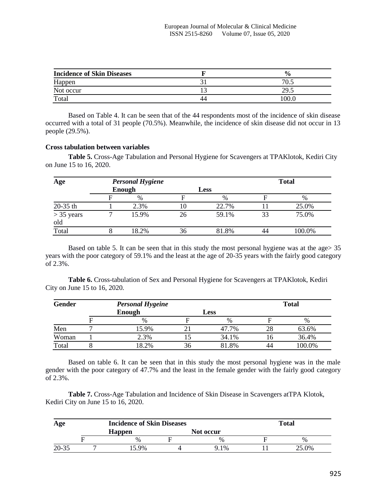| <b>Incidence of Skin Diseases</b> |    | $\frac{0}{0}$ |
|-----------------------------------|----|---------------|
| Happen                            |    | 70            |
| Not occur                         |    | 29.5          |
| Total                             | 44 |               |

Based on Table 4. It can be seen that of the 44 respondents most of the incidence of skin disease occurred with a total of 31 people (70.5%). Meanwhile, the incidence of skin disease did not occur in 13 people (29.5%).

# **Cross tabulation between variables**

**Table 5.** Cross-Age Tabulation and Personal Hygiene for Scavengers at TPAKlotok, Kediri City on June 15 to 16, 2020.

| Age                 |        | <b>Personal Hygiene</b> |    |             |    | <b>Total</b> |
|---------------------|--------|-------------------------|----|-------------|----|--------------|
|                     | Enough |                         |    | <b>Less</b> |    |              |
|                     |        | $\%$                    |    | $\%$        |    | $\%$         |
| $20-35$ th          |        | 2.3%                    | 10 | 22.7%       |    | 25.0%        |
| $> 35$ years<br>old |        | 15.9%                   | 26 | 59.1%       | 33 | 75.0%        |
| Total               |        | 8.2%                    | 36 | 81.8%       |    | 100.0%       |

Based on table 5. It can be seen that in this study the most personal hygiene was at the age> 35 years with the poor category of 59.1% and the least at the age of 20-35 years with the fairly good category of 2.3%.

**Table 6.** Cross-tabulation of Sex and Personal Hygiene for Scavengers at TPAKlotok, Kediri City on June 15 to 16, 2020.

| <b>Gender</b> |               | <b>Personal Hygeine</b> |    |               |    | <b>Total</b> |  |
|---------------|---------------|-------------------------|----|---------------|----|--------------|--|
|               | <b>Enough</b> |                         |    | <b>Less</b>   |    |              |  |
|               |               | $\frac{0}{0}$           |    | $\frac{0}{0}$ |    | %            |  |
| Men           |               | 15.9%                   |    | 47.7%         | 28 | 63.6%        |  |
| Woman         |               | 2.3%                    |    | 34.1%         | 10 | 36.4%        |  |
| Total         |               | 8.2%                    | 36 | 81.8%         | 44 | 100.0%       |  |

Based on table 6. It can be seen that in this study the most personal hygiene was in the male gender with the poor category of 47.7% and the least in the female gender with the fairly good category of 2.3%.

**Table 7.** Cross-Age Tabulation and Incidence of Skin Disease in Scavengers atTPA Klotok, Kediri City on June 15 to 16, 2020.

| Age       | <b>Incidence of Skin Diseases</b> | <b>Total</b> |  |       |  |
|-----------|-----------------------------------|--------------|--|-------|--|
|           | <b>Happen</b>                     | Not occur    |  |       |  |
|           | $\%$                              | $\%$         |  | $\%$  |  |
| $20 - 35$ | 59%                               | $9.1\%$      |  | 25.0% |  |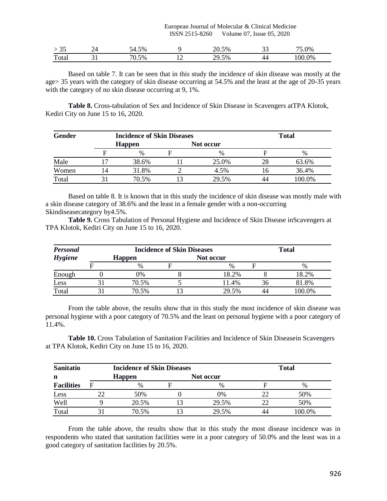#### European Journal of Molecular & Clinical Medicine ISSN 2515-8260 Volume 07, Issue 05, 2020

| $\sim$ $\sim$<br>ر ر | 5%<br>— т. |                          | 20.5%        | ັ | .0%     |
|----------------------|------------|--------------------------|--------------|---|---------|
| Total                | $0.5\%$    | $\overline{\phantom{0}}$ | וטי<br>29.5% |   | $0.0\%$ |

Based on table 7. It can be seen that in this study the incidence of skin disease was mostly at the age> 35 years with the category of skin disease occurring at 54.5% and the least at the age of 20-35 years with the category of no skin disease occurring at 9, 1%.

**Table 8.** Cross-tabulation of Sex and Incidence of Skin Disease in Scavengers atTPA Klotok, Kediri City on June 15 to 16, 2020.

| <b>Gender</b> | <b>Incidence of Skin Diseases</b> |  | <b>Total</b>  |     |               |  |
|---------------|-----------------------------------|--|---------------|-----|---------------|--|
|               | <b>Happen</b>                     |  | Not occur     |     |               |  |
|               | $\frac{0}{0}$                     |  | $\frac{0}{0}$ |     | $\frac{0}{0}$ |  |
| Male          | 38.6%                             |  | 25.0%         | 28  | 63.6%         |  |
| Women         | 31.8%                             |  | 4.5%          | l h | 36.4%         |  |
| Total         | 70.5%                             |  | 29.5%         |     | 100.0%        |  |

Based on table 8. It is known that in this study the incidence of skin disease was mostly male with a skin disease category of 38.6% and the least in a female gender with a non-occurring Skindiseasecategory by4.5%.

**Table 9.** Cross Tabulation of Personal Hygiene and Incidence of Skin Disease inScavengers at TPA Klotok, Kediri City on June 15 to 16, 2020.

| Personal       | <b>Incidence of Skin Diseases</b> |  | <b>Total</b> |     |        |  |
|----------------|-----------------------------------|--|--------------|-----|--------|--|
| <b>Hygiene</b> | <b>Happen</b>                     |  | Not occur    |     |        |  |
|                | $\%$                              |  | $\%$         |     | $\%$   |  |
| Enough         | 0%                                |  | 18.2%        |     | 18.2%  |  |
| Less           | 70.5%                             |  | 11.4%        | 36. | 81.8%  |  |
| Total          | 70.5%                             |  | 29.5%        |     | 100.0% |  |

From the table above, the results show that in this study the most incidence of skin disease was personal hygiene with a poor category of 70.5% and the least on personal hygiene with a poor category of 11.4%.

**Table 10.** Cross Tabulation of Sanitation Facilities and Incidence of Skin Diseasein Scavengers at TPA Klotok, Kediri City on June 15 to 16, 2020.

| <b>Sanitatio</b>  |   | <b>Incidence of Skin Diseases</b> |           | <b>Total</b> |  |        |
|-------------------|---|-----------------------------------|-----------|--------------|--|--------|
| n                 |   | <b>Happen</b>                     | Not occur |              |  |        |
| <b>Facilities</b> | F | $\%$                              |           | $\%$         |  | $\%$   |
| Less              |   | 50%                               |           | 0%           |  | 50%    |
| Well              |   | 20.5%                             |           | 29.5%        |  | 50%    |
| Total             |   | 70.5%                             |           | 29.5%        |  | 100.0% |

From the table above, the results show that in this study the most disease incidence was in respondents who stated that sanitation facilities were in a poor category of 50.0% and the least was in a good category of sanitation facilities by 20.5%.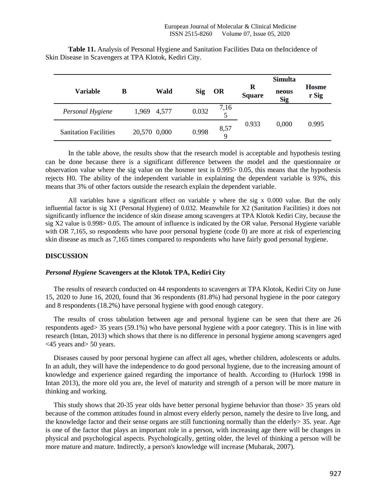|                              |   |              |       |            |                     |                    | <b>Simulta</b>      |                       |
|------------------------------|---|--------------|-------|------------|---------------------|--------------------|---------------------|-----------------------|
| Variable                     | в |              | Wald  | <b>Sig</b> | OR                  | R<br><b>Square</b> | neous<br><b>Sig</b> | <b>Hosme</b><br>r Sig |
| Personal Hygiene             |   | 1,969        | 4,577 | 0.032      | 7,16<br>5           |                    |                     |                       |
| <b>Sanitation Facilities</b> |   | 20,570 0,000 |       | 0.998      | 8,57<br>$\mathbf Q$ | 0.933              | 0,000               | 0.995                 |

**Table 11.** Analysis of Personal Hygiene and Sanitation Facilities Data on theIncidence of Skin Disease in Scavengers at TPA Klotok, Kediri City.

In the table above, the results show that the research model is acceptable and hypothesis testing can be done because there is a significant difference between the model and the questionnaire or observation value where the sig value on the hosmer test is 0.995> 0.05, this means that the hypothesis rejects H0. The ability of the independent variable in explaining the dependent variable is 93%, this means that 3% of other factors outside the research explain the dependent variable.

All variables have a significant effect on variable y where the sig x 0.000 value. But the only influential factor is sig X1 (Personal Hygiene) of 0.032. Meanwhile for X2 (Sanitation Facilities) it does not significantly influence the incidence of skin disease among scavengers at TPA Klotok Kediri City, because the sig X2 value is 0.998> 0.05. The amount of influence is indicated by the OR value. Personal Hygiene variable with OR 7,165, so respondents who have poor personal hygiene (code 0) are more at risk of experiencing skin disease as much as 7,165 times compared to respondents who have fairly good personal hygiene.

## **DISCUSSION**

## *Personal Hygiene* **Scavengers at the Klotok TPA, Kediri City**

The results of research conducted on 44 respondents to scavengers at TPA Klotok, Kediri City on June 15, 2020 to June 16, 2020, found that 36 respondents (81.8%) had personal hygiene in the poor category and 8 respondents (18.2%) have personal hygiene with good enough category.

The results of cross tabulation between age and personal hygiene can be seen that there are 26 respondents aged> 35 years (59.1%) who have personal hygiene with a poor category. This is in line with research (Intan, 2013) which shows that there is no difference in personal hygiene among scavengers aged <45 years and> 50 years.

Diseases caused by poor personal hygiene can affect all ages, whether children, adolescents or adults. In an adult, they will have the independence to do good personal hygiene, due to the increasing amount of knowledge and experience gained regarding the importance of health. According to (Hurlock 1998 in Intan 2013), the more old you are, the level of maturity and strength of a person will be more mature in thinking and working.

This study shows that 20-35 year olds have better personal hygiene behavior than those> 35 years old because of the common attitudes found in almost every elderly person, namely the desire to live long, and the knowledge factor and their sense organs are still functioning normally than the elderly> 35. year. Age is one of the factor that plays an important role in a person, with increasing age there will be changes in physical and psychological aspects. Psychologically, getting older, the level of thinking a person will be more mature and mature. Indirectly, a person's knowledge will increase (Mubarak, 2007).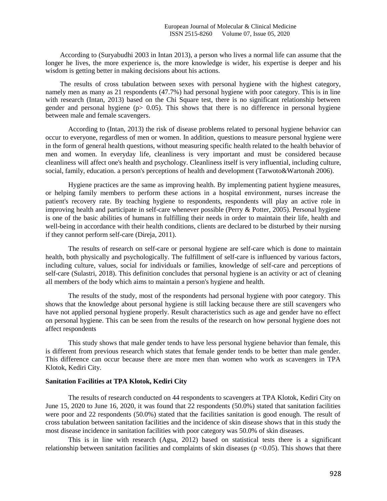According to (Suryabudhi 2003 in Intan 2013), a person who lives a normal life can assume that the longer he lives, the more experience is, the more knowledge is wider, his expertise is deeper and his wisdom is getting better in making decisions about his actions.

The results of cross tabulation between sexes with personal hygiene with the highest category, namely men as many as 21 respondents (47.7%) had personal hygiene with poor category. This is in line with research (Intan, 2013) based on the Chi Square test, there is no significant relationship between gender and personal hygiene ( $p$  = 0.05). This shows that there is no difference in personal hygiene between male and female scavengers.

According to (Intan, 2013) the risk of disease problems related to personal hygiene behavior can occur to everyone, regardless of men or women. In addition, questions to measure personal hygiene were in the form of general health questions, without measuring specific health related to the health behavior of men and women. In everyday life, cleanliness is very important and must be considered because cleanliness will affect one's health and psychology. Cleanliness itself is very influential, including culture, social, family, education. a person's perceptions of health and development (Tarwoto&Wartonah 2006).

Hygiene practices are the same as improving health. By implementing patient hygiene measures, or helping family members to perform these actions in a hospital environment, nurses increase the patient's recovery rate. By teaching hygiene to respondents, respondents will play an active role in improving health and participate in self-care whenever possible (Perry & Potter, 2005). Personal hygiene is one of the basic abilities of humans in fulfilling their needs in order to maintain their life, health and well-being in accordance with their health conditions, clients are declared to be disturbed by their nursing if they cannot perform self-care (Direja, 2011).

The results of research on self-care or personal hygiene are self-care which is done to maintain health, both physically and psychologically. The fulfillment of self-care is influenced by various factors, including culture, values, social for individuals or families, knowledge of self-care and perceptions of self-care (Sulastri, 2018). This definition concludes that personal hygiene is an activity or act of cleaning all members of the body which aims to maintain a person's hygiene and health.

The results of the study, most of the respondents had personal hygiene with poor category. This shows that the knowledge about personal hygiene is still lacking because there are still scavengers who have not applied personal hygiene properly. Result characteristics such as age and gender have no effect on personal hygiene. This can be seen from the results of the research on how personal hygiene does not affect respondents

This study shows that male gender tends to have less personal hygiene behavior than female, this is different from previous research which states that female gender tends to be better than male gender. This difference can occur because there are more men than women who work as scavengers in TPA Klotok, Kediri City.

## **Sanitation Facilities at TPA Klotok, Kediri City**

The results of research conducted on 44 respondents to scavengers at TPA Klotok, Kediri City on June 15, 2020 to June 16, 2020, it was found that 22 respondents (50.0%) stated that sanitation facilities were poor and 22 respondents (50.0%) stated that the facilities sanitation is good enough. The result of cross tabulation between sanitation facilities and the incidence of skin disease shows that in this study the most disease incidence in sanitation facilities with poor category was 50.0% of skin diseases.

This is in line with research (Agsa, 2012) based on statistical tests there is a significant relationship between sanitation facilities and complaints of skin diseases ( $p \lt 0.05$ ). This shows that there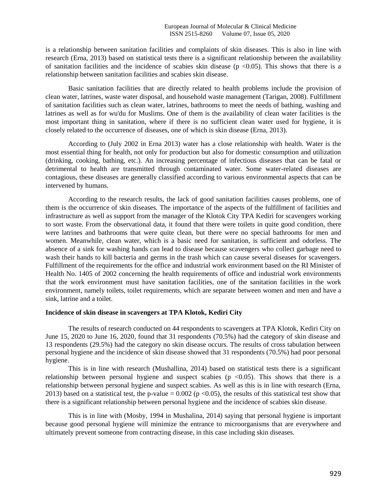is a relationship between sanitation facilities and complaints of skin diseases. This is also in line with research (Erna, 2013) based on statistical tests there is a significant relationship between the availability of sanitation facilities and the incidence of scabies skin disease ( $p \lt 0.05$ ). This shows that there is a relationship between sanitation facilities and scabies skin disease.

Basic sanitation facilities that are directly related to health problems include the provision of clean water, latrines, waste water disposal, and household waste management (Tarigan, 2008). Fulfillment of sanitation facilities such as clean water, latrines, bathrooms to meet the needs of bathing, washing and latrines as well as for wu'du for Muslims. One of them is the availability of clean water facilities is the most important thing in sanitation, where if there is no sufficient clean water used for hygiene, it is closely related to the occurrence of diseases, one of which is skin disease (Erna, 2013).

According to (July 2002 in Erna 2013) water has a close relationship with health. Water is the most essential thing for health, not only for production but also for domestic consumption and utilization (drinking, cooking, bathing, etc.). An increasing percentage of infectious diseases that can be fatal or detrimental to health are transmitted through contaminated water. Some water-related diseases are contagious, these diseases are generally classified according to various environmental aspects that can be intervened by humans.

According to the research results, the lack of good sanitation facilities causes problems, one of them is the occurrence of skin diseases. The importance of the aspects of the fulfillment of facilities and infrastructure as well as support from the manager of the Klotok City TPA Kediri for scavengers working to sort waste. From the observational data, it found that there were toilets in quite good condition, there were latrines and bathrooms that were quite clean, but there were no special bathrooms for men and women. Meanwhile, clean water, which is a basic need for sanitation, is sufficient and odorless. The absence of a sink for washing hands can lead to disease because scavengers who collect garbage need to wash their hands to kill bacteria and germs in the trash which can cause several diseases for scavengers. Fulfillment of the requirements for the office and industrial work environment based on the RI Minister of Health No. 1405 of 2002 concerning the health requirements of office and industrial work environments that the work environment must have sanitation facilities, one of the sanitation facilities in the work environment, namely toilets, toilet requirements, which are separate between women and men and have a sink, latrine and a toilet.

# **Incidence of skin disease in scavengers at TPA Klotok, Kediri City**

The results of research conducted on 44 respondents to scavengers at TPA Klotok, Kediri City on June 15, 2020 to June 16, 2020, found that 31 respondents (70.5%) had the category of skin disease and 13 respondents (29.5%) had the category no skin disease occurs. The results of cross tabulation between personal hygiene and the incidence of skin disease showed that 31 respondents (70.5%) had poor personal hygiene.

This is in line with research (Mushallina, 2014) based on statistical tests there is a significant relationship between personal hygiene and suspect scabies ( $p \le 0.05$ ). This shows that there is a relationship between personal hygiene and suspect scabies. As well as this is in line with research (Erna, 2013) based on a statistical test, the p-value =  $0.002$  (p <0.05), the results of this statistical test show that there is a significant relationship between personal hygiene and the incidence of scabies skin disease.

This is in line with (Mosby, 1994 in Mushalina, 2014) saying that personal hygiene is important because good personal hygiene will minimize the entrance to microorganisms that are everywhere and ultimately prevent someone from contracting disease, in this case including skin diseases.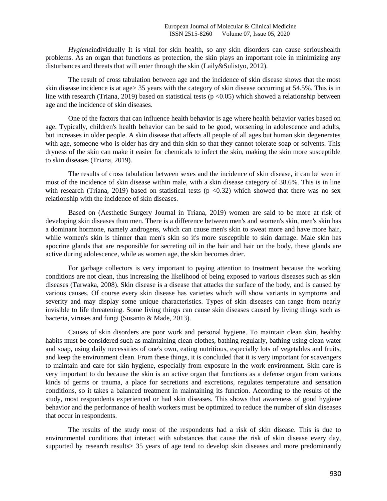*Hygiene*individually It is vital for skin health, so any skin disorders can cause serioushealth problems. As an organ that functions as protection, the skin plays an important role in minimizing any disturbances and threats that will enter through the skin (Laily&Sulistyo, 2012).

The result of cross tabulation between age and the incidence of skin disease shows that the most skin disease incidence is at age> 35 years with the category of skin disease occurring at 54.5%. This is in line with research (Triana, 2019) based on statistical tests ( $p \le 0.05$ ) which showed a relationship between age and the incidence of skin diseases.

One of the factors that can influence health behavior is age where health behavior varies based on age. Typically, children's health behavior can be said to be good, worsening in adolescence and adults, but increases in older people. A skin disease that affects all people of all ages but human skin degenerates with age, someone who is older has dry and thin skin so that they cannot tolerate soap or solvents. This dryness of the skin can make it easier for chemicals to infect the skin, making the skin more susceptible to skin diseases (Triana, 2019).

The results of cross tabulation between sexes and the incidence of skin disease, it can be seen in most of the incidence of skin disease within male, with a skin disease category of 38.6%. This is in line with research (Triana, 2019) based on statistical tests ( $p < 0.32$ ) which showed that there was no sex relationship with the incidence of skin diseases.

Based on (Aesthetic Surgery Journal in Triana, 2019) women are said to be more at risk of developing skin diseases than men. There is a difference between men's and women's skin, men's skin has a dominant hormone, namely androgens, which can cause men's skin to sweat more and have more hair, while women's skin is thinner than men's skin so it's more susceptible to skin damage. Male skin has apocrine glands that are responsible for secreting oil in the hair and hair on the body, these glands are active during adolescence, while as women age, the skin becomes drier.

For garbage collectors is very important to paying attention to treatment because the working conditions are not clean, thus increasing the likelihood of being exposed to various diseases such as skin diseases (Tarwaka, 2008). Skin disease is a disease that attacks the surface of the body, and is caused by various causes. Of course every skin disease has varieties which will show variants in symptoms and severity and may display some unique characteristics. Types of skin diseases can range from nearly invisible to life threatening. Some living things can cause skin diseases caused by living things such as bacteria, viruses and fungi (Susanto & Made, 2013).

Causes of skin disorders are poor work and personal hygiene. To maintain clean skin, healthy habits must be considered such as maintaining clean clothes, bathing regularly, bathing using clean water and soap, using daily necessities of one's own, eating nutritious, especially lots of vegetables and fruits, and keep the environment clean. From these things, it is concluded that it is very important for scavengers to maintain and care for skin hygiene, especially from exposure in the work environment. Skin care is very important to do because the skin is an active organ that functions as a defense organ from various kinds of germs or trauma, a place for secretions and excretions, regulates temperature and sensation conditions, so it takes a balanced treatment in maintaining its function. According to the results of the study, most respondents experienced or had skin diseases. This shows that awareness of good hygiene behavior and the performance of health workers must be optimized to reduce the number of skin diseases that occur in respondents.

The results of the study most of the respondents had a risk of skin disease. This is due to environmental conditions that interact with substances that cause the risk of skin disease every day, supported by research results  $> 35$  years of age tend to develop skin diseases and more predominantly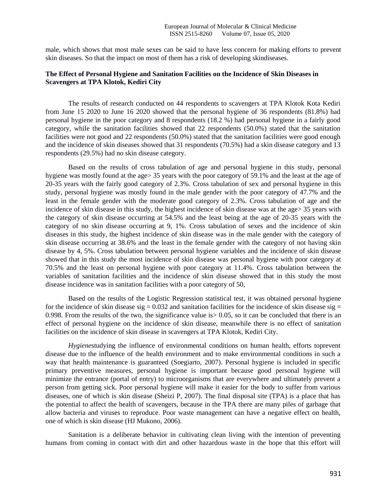male, which shows that most male sexes can be said to have less concern for making efforts to prevent skin diseases. So that the impact on most of them has a risk of developing skindiseases.

# **The Effect of Personal Hygiene and Sanitation Facilities on the Incidence of Skin Diseases in Scavengers at TPA Klotok, Kediri City**

The results of research conducted on 44 respondents to scavengers at TPA Klotok Kota Kediri from June 15 2020 to June 16 2020 showed that the personal hygiene of 36 respondents (81.8%) had personal hygiene in the poor category and 8 respondents (18.2 %) had personal hygiene in a fairly good category, while the sanitation facilities showed that 22 respondents (50.0%) stated that the sanitation facilities were not good and 22 respondents (50.0%) stated that the sanitation facilities were good enough and the incidence of skin diseases showed that 31 respondents (70.5%) had a skin disease category and 13 respondents (29.5%) had no skin disease category.

Based on the results of cross tabulation of age and personal hygiene in this study, personal hygiene was mostly found at the age> 35 years with the poor category of 59.1% and the least at the age of 20-35 years with the fairly good category of 2.3%. Cross tabulation of sex and personal hygiene in this study, personal hygiene was mostly found in the male gender with the poor category of 47.7% and the least in the female gender with the moderate good category of 2.3%. Cross tabulation of age and the incidence of skin disease in this study, the highest incidence of skin disease was at the age> 35 years with the category of skin disease occurring at 54.5% and the least being at the age of 20-35 years with the category of no skin disease occurring at 9, 1%. Cross tabulation of sexes and the incidence of skin diseases in this study, the highest incidence of skin disease was in the male gender with the category of skin disease occurring at 38.6% and the least in the female gender with the category of not having skin disease by 4, 5%. Cross tabulation between personal hygiene variables and the incidence of skin disease showed that in this study the most incidence of skin disease was personal hygiene with poor category at 70.5% and the least on personal hygiene with poor category at 11.4%. Cross tabulation between the variables of sanitation facilities and the incidence of skin disease showed that in this study the most disease incidence was in sanitation facilities with a poor category of 50,

Based on the results of the Logistic Regression statistical test, it was obtained personal hygiene for the incidence of skin disease sig =  $0.032$  and sanitation facilities for the incidence of skin disease sig = 0.998. From the results of the two, the significance value is> 0.05, so it can be concluded that there is an effect of personal hygiene on the incidence of skin disease, meanwhile there is no effect of sanitation facilities on the incidence of skin disease in scavengers at TPA Klotok, Kediri City.

*Hygiene*studying the influence of environmental conditions on human health, efforts toprevent disease due to the influence of the health environment and to make environmental conditions in such a way that health maintenance is guaranteed (Soegiarto, 2007). Personal hygiene is included in specific primary preventive measures, personal hygiene is important because good personal hygiene will minimize the entrance (portal of entry) to microorganisms that are everywhere and ultimately prevent a person from getting sick. Poor personal hygiene will make it easier for the body to suffer from various diseases, one of which is skin disease (Sheizi P, 2007). The final disposal site (TPA) is a place that has the potential to affect the health of scavengers, because in the TPA there are many piles of garbage that allow bacteria and viruses to reproduce. Poor waste management can have a negative effect on health, one of which is skin disease (HJ Mukono, 2006).

Sanitation is a deliberate behavior in cultivating clean living with the intention of preventing humans from coming in contact with dirt and other hazardous waste in the hope that this effort will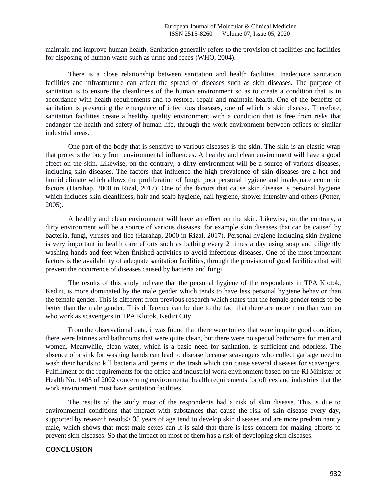maintain and improve human health. Sanitation generally refers to the provision of facilities and facilities for disposing of human waste such as urine and feces (WHO, 2004).

There is a close relationship between sanitation and health facilities. Inadequate sanitation facilities and infrastructure can affect the spread of diseases such as skin diseases. The purpose of sanitation is to ensure the cleanliness of the human environment so as to create a condition that is in accordance with health requirements and to restore, repair and maintain health. One of the benefits of sanitation is preventing the emergence of infectious diseases, one of which is skin disease. Therefore, sanitation facilities create a healthy quality environment with a condition that is free from risks that endanger the health and safety of human life, through the work environment between offices or similar industrial areas.

One part of the body that is sensitive to various diseases is the skin. The skin is an elastic wrap that protects the body from environmental influences. A healthy and clean environment will have a good effect on the skin. Likewise, on the contrary, a dirty environment will be a source of various diseases, including skin diseases. The factors that influence the high prevalence of skin diseases are a hot and humid climate which allows the proliferation of fungi, poor personal hygiene and inadequate economic factors (Harahap, 2000 in Rizal, 2017). One of the factors that cause skin disease is personal hygiene which includes skin cleanliness, hair and scalp hygiene, nail hygiene, shower intensity and others (Potter, 2005).

A healthy and clean environment will have an effect on the skin. Likewise, on the contrary, a dirty environment will be a source of various diseases, for example skin diseases that can be caused by bacteria, fungi, viruses and lice (Harahap, 2000 in Rizal, 2017). Personal hygiene including skin hygiene is very important in health care efforts such as bathing every 2 times a day using soap and diligently washing hands and feet when finished activities to avoid infectious diseases. One of the most important factors is the availability of adequate sanitation facilities, through the provision of good facilities that will prevent the occurrence of diseases caused by bacteria and fungi.

The results of this study indicate that the personal hygiene of the respondents in TPA Klotok, Kediri, is more dominated by the male gender which tends to have less personal hygiene behavior than the female gender. This is different from previous research which states that the female gender tends to be better than the male gender. This difference can be due to the fact that there are more men than women who work as scavengers in TPA Klotok, Kediri City.

From the observational data, it was found that there were toilets that were in quite good condition, there were latrines and bathrooms that were quite clean, but there were no special bathrooms for men and women. Meanwhile, clean water, which is a basic need for sanitation, is sufficient and odorless. The absence of a sink for washing hands can lead to disease because scavengers who collect garbage need to wash their hands to kill bacteria and germs in the trash which can cause several diseases for scavengers. Fulfillment of the requirements for the office and industrial work environment based on the RI Minister of Health No. 1405 of 2002 concerning environmental health requirements for offices and industries that the work environment must have sanitation facilities,

The results of the study most of the respondents had a risk of skin disease. This is due to environmental conditions that interact with substances that cause the risk of skin disease every day, supported by research results  $> 35$  years of age tend to develop skin diseases and are more predominantly male, which shows that most male sexes can It is said that there is less concern for making efforts to prevent skin diseases. So that the impact on most of them has a risk of developing skin diseases.

# **CONCLUSION**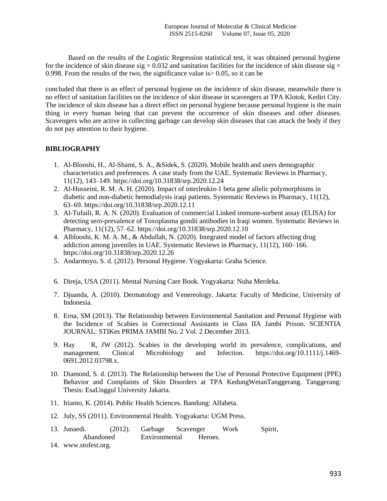Based on the results of the Logistic Regression statistical test, it was obtained personal hygiene for the incidence of skin disease sig  $= 0.032$  and sanitation facilities for the incidence of skin disease sig  $=$ 0.998. From the results of the two, the significance value is> 0.05, so it can be

concluded that there is an effect of personal hygiene on the incidence of skin disease, meanwhile there is no effect of sanitation facilities on the incidence of skin disease in scavengers at TPA Klotok, Kediri City. The incidence of skin disease has a direct effect on personal hygiene because personal hygiene is the main thing in every human being that can prevent the occurrence of skin diseases and other diseases. Scavengers who are active in collecting garbage can develop skin diseases that can attack the body if they do not pay attention to their hygiene.

# **BIBLIOGRAPHY**

- 1. Al-Blooshi, H., Al-Shami, S. A., &Sidek, S. (2020). Mobile health and users demographic characteristics and preferences. A case study from the UAE. Systematic Reviews in Pharmacy, 11(12), 143–149. https://doi.org/10.31838/srp.2020.12.24
- 2. Al-Husseini, R. M. A. H. (2020). Impact of interleukin-1 beta gene allelic polymorphisms in diabetic and non-diabetic hemodialysis iraqi patients. Systematic Reviews in Pharmacy, 11(12), 63–69. https://doi.org/10.31838/srp.2020.12.11
- 3. Al-Tufaili, R. A. N. (2020). Evaluation of commercial Linked immune-sorbent assay (ELISA) for detecting sero-prevalence of Toxoplasma gondii antibodies in Iraqi women. Systematic Reviews in Pharmacy, 11(12), 57–62. https://doi.org/10.31838/srp.2020.12.10
- 4. Alblooshi, K. M. A. M., & Abdullah, N. (2020). Integrated model of factors affecting drug addiction among juveniles in UAE. Systematic Reviews in Pharmacy, 11(12), 160–166. https://doi.org/10.31838/srp.2020.12.26
- 5. Andarmoyo, S. d. (2012). Personal Hygiene. Yogyakarta: Graha Science.
- 6. Direja, USA (2011). Mental Nursing Care Book. Yogyakarta: Nuha Merdeka.
- 7. Djuanda, A. (2010). Dermatology and Venereology. Jakarta: Faculty of Medicine, University of Indonesia.
- 8. Erna, SM (2013). The Relationship between Environmental Sanitation and Personal Hygiene with the Incidence of Scabies in Correctional Assistants in Class IIA Jambi Prison. SCIENTIA JOURNAL: STIKes PRIMA JAMBI No. 2 Vol. 2 December 2013.
- 9. Hay R, JW (2012). Scabies in the developing world its prevalence, complications, and management. Clinical Microbiology and Infection. https://doi.org/10.1111/j.1469- 0691.2012.03798.x.
- 10. Diamond, S. d. (2013). The Relationship between the Use of Personal Protective Equipment (PPE) Behavior and Complaints of Skin Disorders at TPA KedungWetanTanggerang. Tanggerang: Thesis: EsaUnggul University Jakarta.
- 11. Irianto, K. (2014). Public Health Sciences. Bandung: Alfabeta.
- 12. July, SS (2011). Environmental Health. Yogyakarta: UGM Press.
- 13. Junaedi. (2012). Garbage Scavenger Work Spirit, Abandoned Environmental Heroes.
- 14. www.stofest.org.